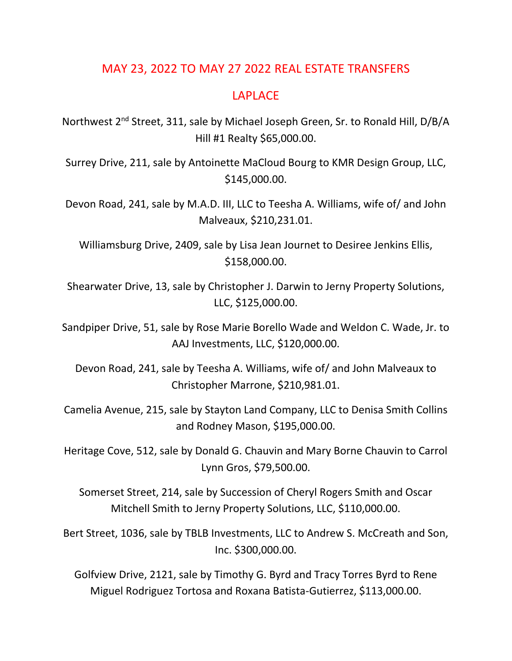## MAY 23, 2022 TO MAY 27 2022 REAL ESTATE TRANSFERS

## LAPLACE

Northwest 2nd Street, 311, sale by Michael Joseph Green, Sr. to Ronald Hill, D/B/A Hill #1 Realty \$65,000.00.

Surrey Drive, 211, sale by Antoinette MaCloud Bourg to KMR Design Group, LLC, \$145,000.00.

Devon Road, 241, sale by M.A.D. III, LLC to Teesha A. Williams, wife of/ and John Malveaux, \$210,231.01.

Williamsburg Drive, 2409, sale by Lisa Jean Journet to Desiree Jenkins Ellis, \$158,000.00.

Shearwater Drive, 13, sale by Christopher J. Darwin to Jerny Property Solutions, LLC, \$125,000.00.

Sandpiper Drive, 51, sale by Rose Marie Borello Wade and Weldon C. Wade, Jr. to AAJ Investments, LLC, \$120,000.00.

Devon Road, 241, sale by Teesha A. Williams, wife of/ and John Malveaux to Christopher Marrone, \$210,981.01.

Camelia Avenue, 215, sale by Stayton Land Company, LLC to Denisa Smith Collins and Rodney Mason, \$195,000.00.

Heritage Cove, 512, sale by Donald G. Chauvin and Mary Borne Chauvin to Carrol Lynn Gros, \$79,500.00.

Somerset Street, 214, sale by Succession of Cheryl Rogers Smith and Oscar Mitchell Smith to Jerny Property Solutions, LLC, \$110,000.00.

Bert Street, 1036, sale by TBLB Investments, LLC to Andrew S. McCreath and Son, Inc. \$300,000.00.

Golfview Drive, 2121, sale by Timothy G. Byrd and Tracy Torres Byrd to Rene Miguel Rodriguez Tortosa and Roxana Batista-Gutierrez, \$113,000.00.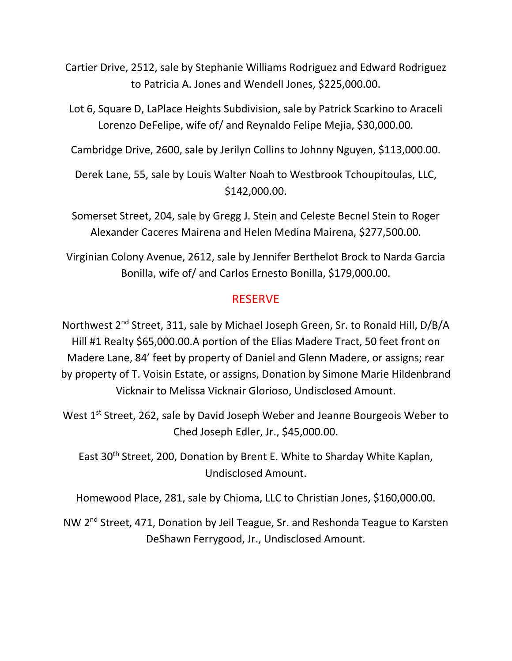Cartier Drive, 2512, sale by Stephanie Williams Rodriguez and Edward Rodriguez to Patricia A. Jones and Wendell Jones, \$225,000.00.

Lot 6, Square D, LaPlace Heights Subdivision, sale by Patrick Scarkino to Araceli Lorenzo DeFelipe, wife of/ and Reynaldo Felipe Mejia, \$30,000.00.

Cambridge Drive, 2600, sale by Jerilyn Collins to Johnny Nguyen, \$113,000.00.

Derek Lane, 55, sale by Louis Walter Noah to Westbrook Tchoupitoulas, LLC, \$142,000.00.

Somerset Street, 204, sale by Gregg J. Stein and Celeste Becnel Stein to Roger Alexander Caceres Mairena and Helen Medina Mairena, \$277,500.00.

Virginian Colony Avenue, 2612, sale by Jennifer Berthelot Brock to Narda Garcia Bonilla, wife of/ and Carlos Ernesto Bonilla, \$179,000.00.

## RESERVE

Northwest 2nd Street, 311, sale by Michael Joseph Green, Sr. to Ronald Hill, D/B/A Hill #1 Realty \$65,000.00.A portion of the Elias Madere Tract, 50 feet front on Madere Lane, 84' feet by property of Daniel and Glenn Madere, or assigns; rear by property of T. Voisin Estate, or assigns, Donation by Simone Marie Hildenbrand Vicknair to Melissa Vicknair Glorioso, Undisclosed Amount.

West 1<sup>st</sup> Street, 262, sale by David Joseph Weber and Jeanne Bourgeois Weber to Ched Joseph Edler, Jr., \$45,000.00.

East 30<sup>th</sup> Street, 200, Donation by Brent E. White to Sharday White Kaplan, Undisclosed Amount.

Homewood Place, 281, sale by Chioma, LLC to Christian Jones, \$160,000.00.

NW 2<sup>nd</sup> Street, 471, Donation by Jeil Teague, Sr. and Reshonda Teague to Karsten DeShawn Ferrygood, Jr., Undisclosed Amount.